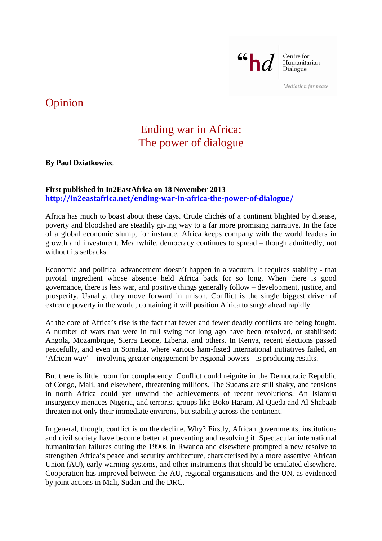

Centre for Humanitarian Dialogue

Mediation for peace

## Opinion

## Ending war in Africa: The power of dialogue

**By Paul Dziatkowiec**

## **First published in In2EastAfrica on 18 November 2013 <http://in2eastafrica.net/ending-war-in-africa-the-power-of-dialogue/>**

Africa has much to boast about these days. Crude clichés of a continent blighted by disease, poverty and bloodshed are steadily giving way to a far more promising narrative. In the face of a global economic slump, for instance, Africa keeps company with the world leaders in growth and investment. Meanwhile, democracy continues to spread – though admittedly, not without its setbacks.

Economic and political advancement doesn't happen in a vacuum. It requires stability - that pivotal ingredient whose absence held Africa back for so long. When there is good governance, there is less war, and positive things generally follow – development, justice, and prosperity. Usually, they move forward in unison. Conflict is the single biggest driver of extreme poverty in the world; containing it will position Africa to surge ahead rapidly.

At the core of Africa's rise is the fact that fewer and fewer deadly conflicts are being fought. A number of wars that were in full swing not long ago have been resolved, or stabilised: Angola, Mozambique, Sierra Leone, Liberia, and others. In Kenya, recent elections passed peacefully, and even in Somalia, where various ham-fisted international initiatives failed, an 'African way' – involving greater engagement by regional powers - is producing results.

But there is little room for complacency. Conflict could reignite in the Democratic Republic of Congo, Mali, and elsewhere, threatening millions. The Sudans are still shaky, and tensions in north Africa could yet unwind the achievements of recent revolutions. An Islamist insurgency menaces Nigeria, and terrorist groups like Boko Haram, Al Qaeda and Al Shabaab threaten not only their immediate environs, but stability across the continent.

In general, though, conflict is on the decline. Why? Firstly, African governments, institutions and civil society have become better at preventing and resolving it. Spectacular international humanitarian failures during the 1990s in Rwanda and elsewhere prompted a new resolve to strengthen Africa's peace and security architecture, characterised by a more assertive African Union (AU), early warning systems, and other instruments that should be emulated elsewhere. Cooperation has improved between the AU, regional organisations and the UN, as evidenced by joint actions in Mali, Sudan and the DRC.